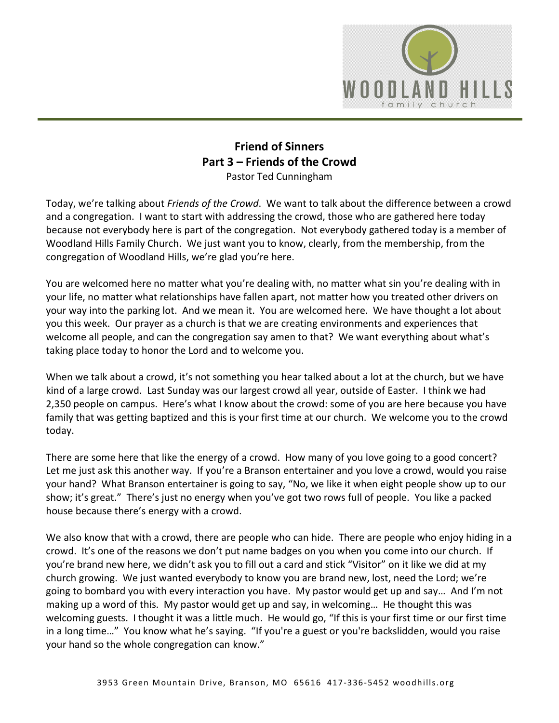

## **Friend of Sinners Part 3 – Friends of the Crowd**  Pastor Ted Cunningham

Today, we're talking about *Friends of the Crowd*. We want to talk about the difference between a crowd and a congregation. I want to start with addressing the crowd, those who are gathered here today because not everybody here is part of the congregation. Not everybody gathered today is a member of Woodland Hills Family Church. We just want you to know, clearly, from the membership, from the congregation of Woodland Hills, we're glad you're here.

You are welcomed here no matter what you're dealing with, no matter what sin you're dealing with in your life, no matter what relationships have fallen apart, not matter how you treated other drivers on your way into the parking lot. And we mean it. You are welcomed here. We have thought a lot about you this week. Our prayer as a church is that we are creating environments and experiences that welcome all people, and can the congregation say amen to that? We want everything about what's taking place today to honor the Lord and to welcome you.

When we talk about a crowd, it's not something you hear talked about a lot at the church, but we have kind of a large crowd. Last Sunday was our largest crowd all year, outside of Easter. I think we had 2,350 people on campus. Here's what I know about the crowd: some of you are here because you have family that was getting baptized and this is your first time at our church. We welcome you to the crowd today.

There are some here that like the energy of a crowd. How many of you love going to a good concert? Let me just ask this another way. If you're a Branson entertainer and you love a crowd, would you raise your hand? What Branson entertainer is going to say, "No, we like it when eight people show up to our show; it's great." There's just no energy when you've got two rows full of people. You like a packed house because there's energy with a crowd.

We also know that with a crowd, there are people who can hide. There are people who enjoy hiding in a crowd. It's one of the reasons we don't put name badges on you when you come into our church. If you're brand new here, we didn't ask you to fill out a card and stick "Visitor" on it like we did at my church growing. We just wanted everybody to know you are brand new, lost, need the Lord; we're going to bombard you with every interaction you have. My pastor would get up and say… And I'm not making up a word of this. My pastor would get up and say, in welcoming… He thought this was welcoming guests. I thought it was a little much. He would go, "If this is your first time or our first time in a long time…" You know what he's saying. "If you're a guest or you're backslidden, would you raise your hand so the whole congregation can know."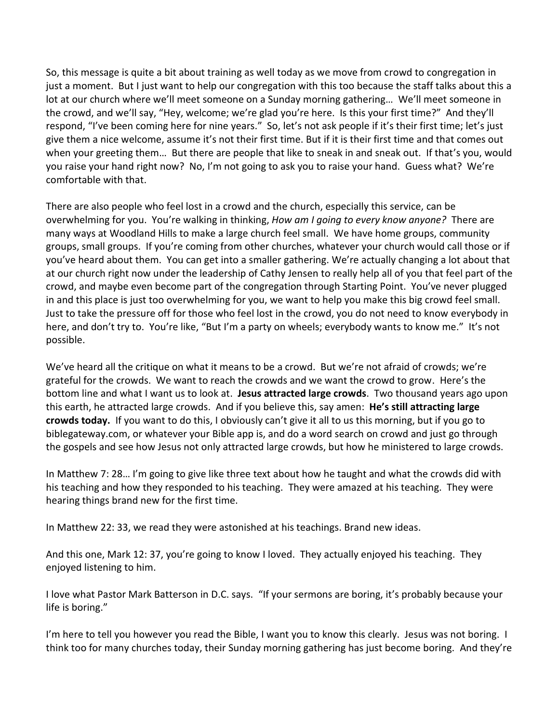So, this message is quite a bit about training as well today as we move from crowd to congregation in just a moment. But I just want to help our congregation with this too because the staff talks about this a lot at our church where we'll meet someone on a Sunday morning gathering… We'll meet someone in the crowd, and we'll say, "Hey, welcome; we're glad you're here. Is this your first time?" And they'll respond, "I've been coming here for nine years." So, let's not ask people if it's their first time; let's just give them a nice welcome, assume it's not their first time. But if it is their first time and that comes out when your greeting them… But there are people that like to sneak in and sneak out. If that's you, would you raise your hand right now? No, I'm not going to ask you to raise your hand. Guess what? We're comfortable with that.

There are also people who feel lost in a crowd and the church, especially this service, can be overwhelming for you. You're walking in thinking, *How am I going to every know anyone?* There are many ways at Woodland Hills to make a large church feel small. We have home groups, community groups, small groups. If you're coming from other churches, whatever your church would call those or if you've heard about them. You can get into a smaller gathering. We're actually changing a lot about that at our church right now under the leadership of Cathy Jensen to really help all of you that feel part of the crowd, and maybe even become part of the congregation through Starting Point. You've never plugged in and this place is just too overwhelming for you, we want to help you make this big crowd feel small. Just to take the pressure off for those who feel lost in the crowd, you do not need to know everybody in here, and don't try to. You're like, "But I'm a party on wheels; everybody wants to know me." It's not possible.

We've heard all the critique on what it means to be a crowd. But we're not afraid of crowds; we're grateful for the crowds. We want to reach the crowds and we want the crowd to grow. Here's the bottom line and what I want us to look at. **Jesus attracted large crowds**. Two thousand years ago upon this earth, he attracted large crowds. And if you believe this, say amen: **He's still attracting large crowds today.** If you want to do this, I obviously can't give it all to us this morning, but if you go to biblegateway.com, or whatever your Bible app is, and do a word search on crowd and just go through the gospels and see how Jesus not only attracted large crowds, but how he ministered to large crowds.

In Matthew 7: 28… I'm going to give like three text about how he taught and what the crowds did with his teaching and how they responded to his teaching. They were amazed at his teaching. They were hearing things brand new for the first time.

In Matthew 22: 33, we read they were astonished at his teachings. Brand new ideas.

And this one, Mark 12: 37, you're going to know I loved. They actually enjoyed his teaching. They enjoyed listening to him.

I love what Pastor Mark Batterson in D.C. says. "If your sermons are boring, it's probably because your life is boring."

I'm here to tell you however you read the Bible, I want you to know this clearly. Jesus was not boring. I think too for many churches today, their Sunday morning gathering has just become boring. And they're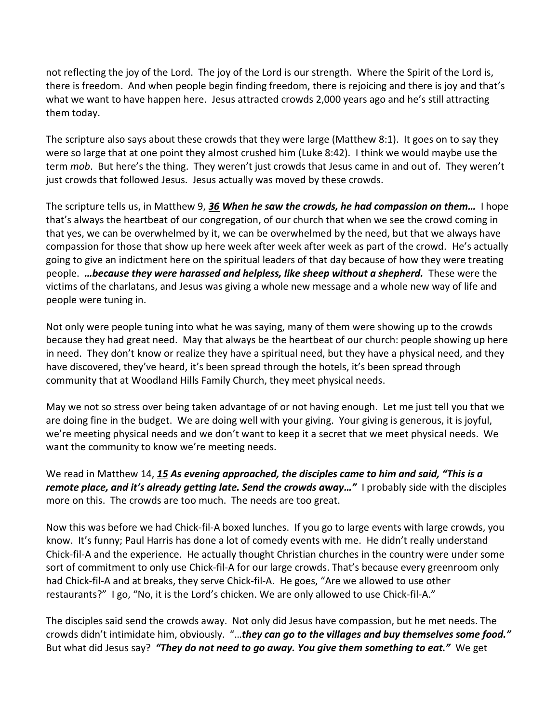not reflecting the joy of the Lord. The joy of the Lord is our strength. Where the Spirit of the Lord is, there is freedom. And when people begin finding freedom, there is rejoicing and there is joy and that's what we want to have happen here. Jesus attracted crowds 2,000 years ago and he's still attracting them today.

The scripture also says about these crowds that they were large (Matthew 8:1). It goes on to say they were so large that at one point they almost crushed him (Luke 8:42). I think we would maybe use the term *mob*. But here's the thing. They weren't just crowds that Jesus came in and out of. They weren't just crowds that followed Jesus. Jesus actually was moved by these crowds.

The scripture tells us, in Matthew 9, *[36](https://www.studylight.org/desk/?q=mt%209:36&t1=en_niv&sr=1) When he saw the crowds, he had compassion on them…* I hope that's always the heartbeat of our congregation, of our church that when we see the crowd coming in that yes, we can be overwhelmed by it, we can be overwhelmed by the need, but that we always have compassion for those that show up here week after week after week as part of the crowd. He's actually going to give an indictment here on the spiritual leaders of that day because of how they were treating people. *…because they were harassed and helpless, like sheep without a shepherd.* These were the victims of the charlatans, and Jesus was giving a whole new message and a whole new way of life and people were tuning in.

Not only were people tuning into what he was saying, many of them were showing up to the crowds because they had great need. May that always be the heartbeat of our church: people showing up here in need. They don't know or realize they have a spiritual need, but they have a physical need, and they have discovered, they've heard, it's been spread through the hotels, it's been spread through community that at Woodland Hills Family Church, they meet physical needs.

May we not so stress over being taken advantage of or not having enough. Let me just tell you that we are doing fine in the budget. We are doing well with your giving. Your giving is generous, it is joyful, we're meeting physical needs and we don't want to keep it a secret that we meet physical needs. We want the community to know we're meeting needs.

We read in Matthew 14, *[15](https://www.studylight.org/desk/?q=mt%2014:15&t1=en_niv&sr=1) As evening approached, the disciples came to him and said, "This is a remote place, and it's already getting late. Send the crowds away…"* I probably side with the disciples more on this. The crowds are too much. The needs are too great.

Now this was before we had Chick-fil-A boxed lunches. If you go to large events with large crowds, you know. It's funny; Paul Harris has done a lot of comedy events with me. He didn't really understand Chick-fil-A and the experience. He actually thought Christian churches in the country were under some sort of commitment to only use Chick-fil-A for our large crowds. That's because every greenroom only had Chick-fil-A and at breaks, they serve Chick-fil-A. He goes, "Are we allowed to use other restaurants?" I go, "No, it is the Lord's chicken. We are only allowed to use Chick-fil-A."

The disciples said send the crowds away. Not only did Jesus have compassion, but he met needs. The crowds didn't intimidate him, obviously. "…*they can go to the villages and buy themselves some food."* But what did Jesus say? *"They do not need to go away. You give them something to eat."* We get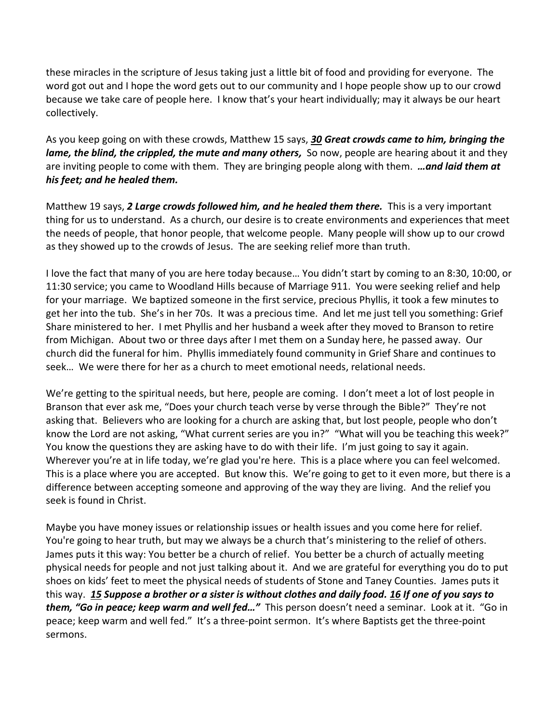these miracles in the scripture of Jesus taking just a little bit of food and providing for everyone. The word got out and I hope the word gets out to our community and I hope people show up to our crowd because we take care of people here. I know that's your heart individually; may it always be our heart collectively.

As you keep going on with these crowds, Matthew 15 says, *[30](https://www.studylight.org/desk/?q=mt%2015:30&t1=en_niv&sr=1) Great crowds came to him, bringing the lame, the blind, the crippled, the mute and many others, So now, people are hearing about it and they* are inviting people to come with them. They are bringing people along with them. *…and laid them at his feet; and he healed them.*

Matthew 19 says, *[2](https://www.studylight.org/desk/?q=mt%2019:2&t1=en_niv&sr=1) Large crowds followed him, and he healed them there.* This is a very important thing for us to understand. As a church, our desire is to create environments and experiences that meet the needs of people, that honor people, that welcome people. Many people will show up to our crowd as they showed up to the crowds of Jesus. The are seeking relief more than truth.

I love the fact that many of you are here today because… You didn't start by coming to an 8:30, 10:00, or 11:30 service; you came to Woodland Hills because of Marriage 911. You were seeking relief and help for your marriage. We baptized someone in the first service, precious Phyllis, it took a few minutes to get her into the tub. She's in her 70s. It was a precious time. And let me just tell you something: Grief Share ministered to her. I met Phyllis and her husband a week after they moved to Branson to retire from Michigan. About two or three days after I met them on a Sunday here, he passed away. Our church did the funeral for him. Phyllis immediately found community in Grief Share and continues to seek… We were there for her as a church to meet emotional needs, relational needs.

We're getting to the spiritual needs, but here, people are coming. I don't meet a lot of lost people in Branson that ever ask me, "Does your church teach verse by verse through the Bible?" They're not asking that. Believers who are looking for a church are asking that, but lost people, people who don't know the Lord are not asking, "What current series are you in?" "What will you be teaching this week?" You know the questions they are asking have to do with their life. I'm just going to say it again. Wherever you're at in life today, we're glad you're here. This is a place where you can feel welcomed. This is a place where you are accepted. But know this. We're going to get to it even more, but there is a difference between accepting someone and approving of the way they are living. And the relief you seek is found in Christ.

Maybe you have money issues or relationship issues or health issues and you come here for relief. You're going to hear truth, but may we always be a church that's ministering to the relief of others. James puts it this way: You better be a church of relief. You better be a church of actually meeting physical needs for people and not just talking about it. And we are grateful for everything you do to put shoes on kids' feet to meet the physical needs of students of Stone and Taney Counties. James puts it this way. *[15](https://www.studylight.org/desk/?q=jas%202:15&t1=en_niv&sr=1) Suppose a brother or a sister is without clothes and daily food. [16](https://www.studylight.org/desk/?q=jas%202:16&t1=en_niv&sr=1) If one of you says to them, "Go in peace; keep warm and well fed…"* This person doesn't need a seminar. Look at it. "Go in peace; keep warm and well fed." It's a three-point sermon. It's where Baptists get the three-point sermons.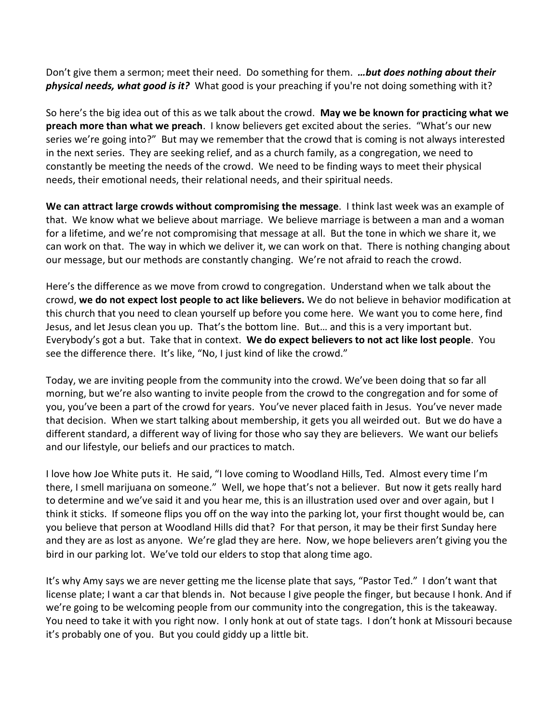Don't give them a sermon; meet their need. Do something for them. *…but does nothing about their physical needs, what good is it?* What good is your preaching if you're not doing something with it?

So here's the big idea out of this as we talk about the crowd. **May we be known for practicing what we preach more than what we preach**. I know believers get excited about the series. "What's our new series we're going into?" But may we remember that the crowd that is coming is not always interested in the next series. They are seeking relief, and as a church family, as a congregation, we need to constantly be meeting the needs of the crowd. We need to be finding ways to meet their physical needs, their emotional needs, their relational needs, and their spiritual needs.

**We can attract large crowds without compromising the message**. I think last week was an example of that. We know what we believe about marriage. We believe marriage is between a man and a woman for a lifetime, and we're not compromising that message at all. But the tone in which we share it, we can work on that. The way in which we deliver it, we can work on that. There is nothing changing about our message, but our methods are constantly changing. We're not afraid to reach the crowd.

Here's the difference as we move from crowd to congregation. Understand when we talk about the crowd, **we do not expect lost people to act like believers.** We do not believe in behavior modification at this church that you need to clean yourself up before you come here. We want you to come here, find Jesus, and let Jesus clean you up. That's the bottom line. But… and this is a very important but. Everybody's got a but. Take that in context. **We do expect believers to not act like lost people**. You see the difference there. It's like, "No, I just kind of like the crowd."

Today, we are inviting people from the community into the crowd. We've been doing that so far all morning, but we're also wanting to invite people from the crowd to the congregation and for some of you, you've been a part of the crowd for years. You've never placed faith in Jesus. You've never made that decision. When we start talking about membership, it gets you all weirded out. But we do have a different standard, a different way of living for those who say they are believers. We want our beliefs and our lifestyle, our beliefs and our practices to match.

I love how Joe White puts it. He said, "I love coming to Woodland Hills, Ted. Almost every time I'm there, I smell marijuana on someone." Well, we hope that's not a believer. But now it gets really hard to determine and we've said it and you hear me, this is an illustration used over and over again, but I think it sticks. If someone flips you off on the way into the parking lot, your first thought would be, can you believe that person at Woodland Hills did that? For that person, it may be their first Sunday here and they are as lost as anyone. We're glad they are here. Now, we hope believers aren't giving you the bird in our parking lot. We've told our elders to stop that along time ago.

It's why Amy says we are never getting me the license plate that says, "Pastor Ted." I don't want that license plate; I want a car that blends in. Not because I give people the finger, but because I honk. And if we're going to be welcoming people from our community into the congregation, this is the takeaway. You need to take it with you right now. I only honk at out of state tags. I don't honk at Missouri because it's probably one of you. But you could giddy up a little bit.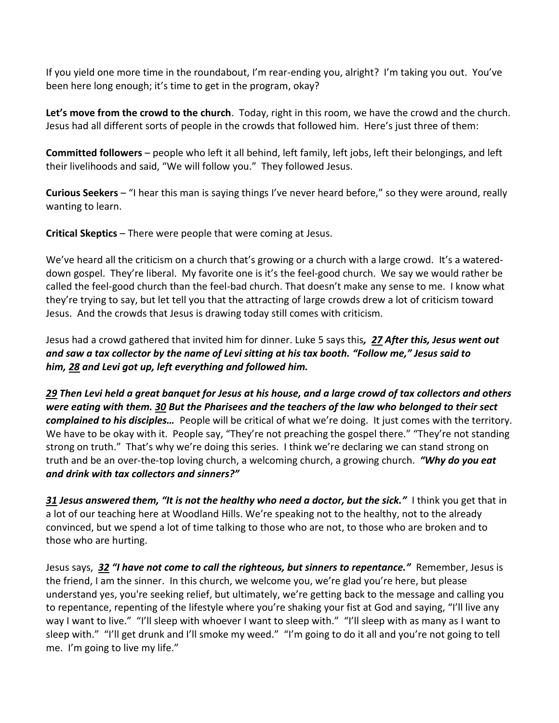If you yield one more time in the roundabout, I'm rear-ending you, alright? I'm taking you out. You've been here long enough; it's time to get in the program, okay?

**Let's move from the crowd to the church**. Today, right in this room, we have the crowd and the church. Jesus had all different sorts of people in the crowds that followed him. Here's just three of them:

**Committed followers** – people who left it all behind, left family, left jobs, left their belongings, and left their livelihoods and said, "We will follow you." They followed Jesus.

**Curious Seekers** – "I hear this man is saying things I've never heard before," so they were around, really wanting to learn.

**Critical Skeptics** – There were people that were coming at Jesus.

We've heard all the criticism on a church that's growing or a church with a large crowd. It's a watereddown gospel. They're liberal. My favorite one is it's the feel-good church. We say we would rather be called the feel-good church than the feel-bad church. That doesn't make any sense to me. I know what they're trying to say, but let tell you that the attracting of large crowds drew a lot of criticism toward Jesus. And the crowds that Jesus is drawing today still comes with criticism.

Jesus had a crowd gathered that invited him for dinner. Luke 5 says this*, [27](https://www.studylight.org/desk/?q=lu%205:27&t1=en_niv&sr=1) After this, Jesus went out and saw a tax collector by the name of Levi sitting at his tax booth. "Follow me," Jesus said to him, [28](https://www.studylight.org/desk/?q=lu%205:28&t1=en_niv&sr=1) and Levi got up, left everything and followed him.* 

*[29](https://www.studylight.org/desk/?q=lu%205:29&t1=en_niv&sr=1) Then Levi held a great banquet for Jesus at his house, and a large crowd of tax collectors and others were eating with them. [30](https://www.studylight.org/desk/?q=lu%205:30&t1=en_niv&sr=1) But the Pharisees and the teachers of the law who belonged to their sect complained to his disciples…* People will be critical of what we're doing. It just comes with the territory. We have to be okay with it. People say, "They're not preaching the gospel there." "They're not standing strong on truth." That's why we're doing this series. I think we're declaring we can stand strong on truth and be an over-the-top loving church, a welcoming church, a growing church. *"Why do you eat and drink with tax collectors and sinners?"*

*[31](https://www.studylight.org/desk/?q=lu%205:31&t1=en_niv&sr=1) Jesus answered them, "It is not the healthy who need a doctor, but the sick."* I think you get that in a lot of our teaching here at Woodland Hills. We're speaking not to the healthy, not to the already convinced, but we spend a lot of time talking to those who are not, to those who are broken and to those who are hurting.

Jesus says, *[32](https://www.studylight.org/desk/?q=lu%205:32&t1=en_niv&sr=1) "I have not come to call the righteous, but sinners to repentance."* Remember, Jesus is the friend, I am the sinner. In this church, we welcome you, we're glad you're here, but please understand yes, you're seeking relief, but ultimately, we're getting back to the message and calling you to repentance, repenting of the lifestyle where you're shaking your fist at God and saying, "I'll live any way I want to live." "I'll sleep with whoever I want to sleep with." "I'll sleep with as many as I want to sleep with." "I'll get drunk and I'll smoke my weed." "I'm going to do it all and you're not going to tell me. I'm going to live my life."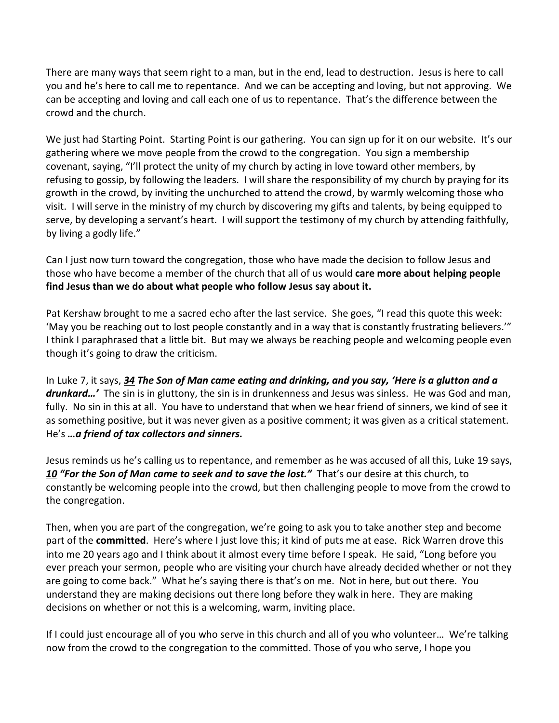There are many ways that seem right to a man, but in the end, lead to destruction. Jesus is here to call you and he's here to call me to repentance. And we can be accepting and loving, but not approving. We can be accepting and loving and call each one of us to repentance. That's the difference between the crowd and the church.

We just had Starting Point. Starting Point is our gathering. You can sign up for it on our website. It's our gathering where we move people from the crowd to the congregation. You sign a membership covenant, saying, "I'll protect the unity of my church by acting in love toward other members, by refusing to gossip, by following the leaders. I will share the responsibility of my church by praying for its growth in the crowd, by inviting the unchurched to attend the crowd, by warmly welcoming those who visit. I will serve in the ministry of my church by discovering my gifts and talents, by being equipped to serve, by developing a servant's heart. I will support the testimony of my church by attending faithfully, by living a godly life."

Can I just now turn toward the congregation, those who have made the decision to follow Jesus and those who have become a member of the church that all of us would **care more about helping people find Jesus than we do about what people who follow Jesus say about it.**

Pat Kershaw brought to me a sacred echo after the last service. She goes, "I read this quote this week: 'May you be reaching out to lost people constantly and in a way that is constantly frustrating believers.'" I think I paraphrased that a little bit. But may we always be reaching people and welcoming people even though it's going to draw the criticism.

In Luke 7, it says, *[34](https://www.studylight.org/desk/?q=lu%207:34&t1=en_niv&sr=1) The Son of Man came eating and drinking, and you say, 'Here is a glutton and a drunkard…'* The sin is in gluttony, the sin is in drunkenness and Jesus was sinless. He was God and man, fully. No sin in this at all. You have to understand that when we hear friend of sinners, we kind of see it as something positive, but it was never given as a positive comment; it was given as a critical statement. He's *…a friend of tax collectors and sinners.*

Jesus reminds us he's calling us to repentance, and remember as he was accused of all this, Luke 19 says, *[10](https://www.studylight.org/desk/?q=lu%2019:10&t1=en_niv&sr=1) "For the Son of Man came to seek and to save the lost."* That's our desire at this church, to constantly be welcoming people into the crowd, but then challenging people to move from the crowd to the congregation.

Then, when you are part of the congregation, we're going to ask you to take another step and become part of the **committed**. Here's where I just love this; it kind of puts me at ease. Rick Warren drove this into me 20 years ago and I think about it almost every time before I speak. He said, "Long before you ever preach your sermon, people who are visiting your church have already decided whether or not they are going to come back." What he's saying there is that's on me. Not in here, but out there. You understand they are making decisions out there long before they walk in here. They are making decisions on whether or not this is a welcoming, warm, inviting place.

If I could just encourage all of you who serve in this church and all of you who volunteer… We're talking now from the crowd to the congregation to the committed. Those of you who serve, I hope you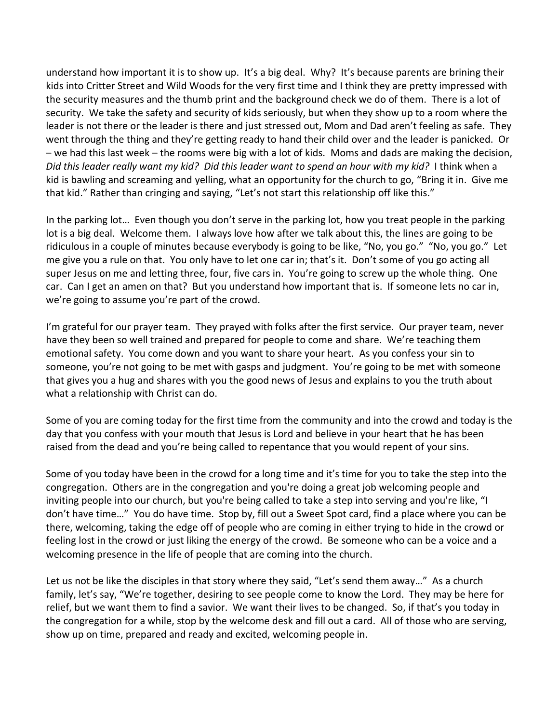understand how important it is to show up. It's a big deal. Why? It's because parents are brining their kids into Critter Street and Wild Woods for the very first time and I think they are pretty impressed with the security measures and the thumb print and the background check we do of them. There is a lot of security. We take the safety and security of kids seriously, but when they show up to a room where the leader is not there or the leader is there and just stressed out, Mom and Dad aren't feeling as safe. They went through the thing and they're getting ready to hand their child over and the leader is panicked. Or – we had this last week – the rooms were big with a lot of kids. Moms and dads are making the decision, *Did this leader really want my kid? Did this leader want to spend an hour with my kid?* I think when a kid is bawling and screaming and yelling, what an opportunity for the church to go, "Bring it in. Give me that kid." Rather than cringing and saying, "Let's not start this relationship off like this."

In the parking lot… Even though you don't serve in the parking lot, how you treat people in the parking lot is a big deal. Welcome them. I always love how after we talk about this, the lines are going to be ridiculous in a couple of minutes because everybody is going to be like, "No, you go." "No, you go." Let me give you a rule on that. You only have to let one car in; that's it. Don't some of you go acting all super Jesus on me and letting three, four, five cars in. You're going to screw up the whole thing. One car. Can I get an amen on that? But you understand how important that is. If someone lets no car in, we're going to assume you're part of the crowd.

I'm grateful for our prayer team. They prayed with folks after the first service. Our prayer team, never have they been so well trained and prepared for people to come and share. We're teaching them emotional safety. You come down and you want to share your heart. As you confess your sin to someone, you're not going to be met with gasps and judgment. You're going to be met with someone that gives you a hug and shares with you the good news of Jesus and explains to you the truth about what a relationship with Christ can do.

Some of you are coming today for the first time from the community and into the crowd and today is the day that you confess with your mouth that Jesus is Lord and believe in your heart that he has been raised from the dead and you're being called to repentance that you would repent of your sins.

Some of you today have been in the crowd for a long time and it's time for you to take the step into the congregation. Others are in the congregation and you're doing a great job welcoming people and inviting people into our church, but you're being called to take a step into serving and you're like, "I don't have time…" You do have time. Stop by, fill out a Sweet Spot card, find a place where you can be there, welcoming, taking the edge off of people who are coming in either trying to hide in the crowd or feeling lost in the crowd or just liking the energy of the crowd. Be someone who can be a voice and a welcoming presence in the life of people that are coming into the church.

Let us not be like the disciples in that story where they said, "Let's send them away…" As a church family, let's say, "We're together, desiring to see people come to know the Lord. They may be here for relief, but we want them to find a savior. We want their lives to be changed. So, if that's you today in the congregation for a while, stop by the welcome desk and fill out a card. All of those who are serving, show up on time, prepared and ready and excited, welcoming people in.